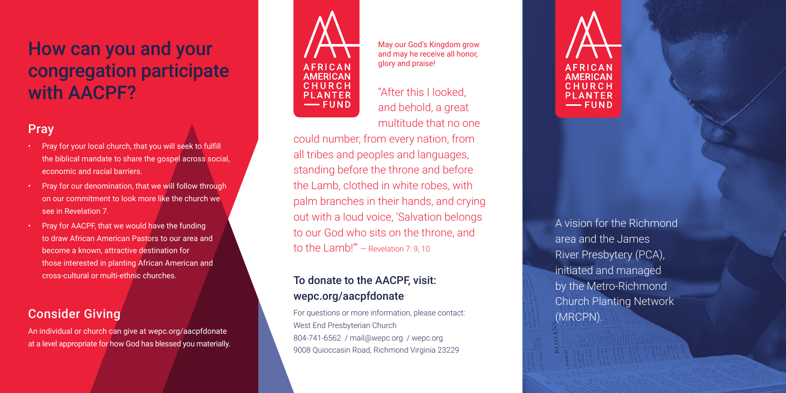# How can you and your congregation participate with AACPF?

## Pray

- • Pray for your local church, that you will seek to fulfill the biblical mandate to share the gospel across social, economic and racial barriers.
- Pray for our denomination, that we will follow through on our commitment to look more like the church we see in Revelation 7.
- • Pray for AACPF, that we would have the funding to draw African American Pastors to our area and become a known, attractive destination for those interested in planting African American and cross-cultural or multi-ethnic churches.

#### Consider Giving

An individual or church can give at wepc.org/aacpfdonate at a level appropriate for how God has blessed you materially.



May our God's Kingdom grow and may he receive all honor, glory and praise!

"After this I looked, and behold, a great multitude that no one

could number, from every nation, from all tribes and peoples and languages, standing before the throne and before the Lamb, clothed in white robes, with palm branches in their hands, and crying out with a loud voice, 'Salvation belongs to our God who sits on the throne, and to the Lamb!'" — Revelation 7: 9, 10

### To donate to the AACPF, visit: wepc.org/aacpfdonate

For questions or more information, please contact: West End Presbyterian Church 804-741-6562 / mail@wepc.org / wepc.org 9008 Quioccasin Road, Richmond Virginia 23229

A vision for the Richmond area and the James River Presbytery (PCA), initiated and managed by the Metro-Richmond Church Planting Network (MRCPN).

**AFRICAN** 

**AMERICAN** 

CHURCH

**PLANTER** 

 $-$  FUND